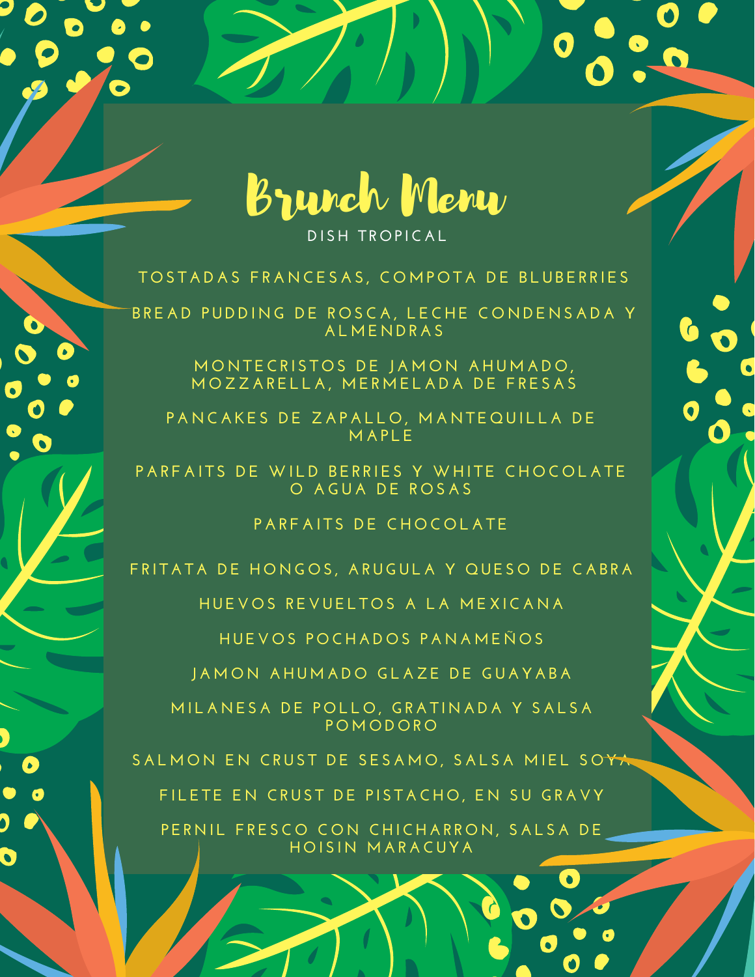

**DI S H T R O P IC A L**

## TOSTADAS FRANCESAS, COMPOTA DE BLUBERRIES

BREAD PUDDING DE ROSCA, LECHE CONDENSADA Y **A L M E N DR A S**

> $M$  **O**  $M$  **TECRISTOS DE JAMON AHUMADO,** MOZZARELLA, MERMELADA DE FRESAS

PANCAKES DE ZAPALLO, MANTEQUILLA DE **M A P L E**

PARFAITS DE WILD BERRIES Y WHITE CHOCOLATE **O A GU A DE R O S A S**

**P A R F A I T S DE C H O C O L A T E**

FRITATA DE HONGOS, ARUGULA Y QUESO DE CABRA

**H UE V O S R E V UE L T O S A L A M E X IC A N A**

**H UE V O S P O C H A D O S P A N A M E Ñ O S**

**J A M O N A H U M A D O GL A Z E DE GU A Y A B A**

MILANESA DE POLLO, GRATINADA Y SALSA **P O M O D O R O**

SALMON EN CRUST DE SESAMO, SALSA MIEL SOYA

 $\mathcal{L}$ 

FILETE EN CRUST DE PISTACHO, EN SU GRAVY

PERNIL FRESCO CON CHICHARRON, SALSA DE **H O I S I N M A R A CUY A**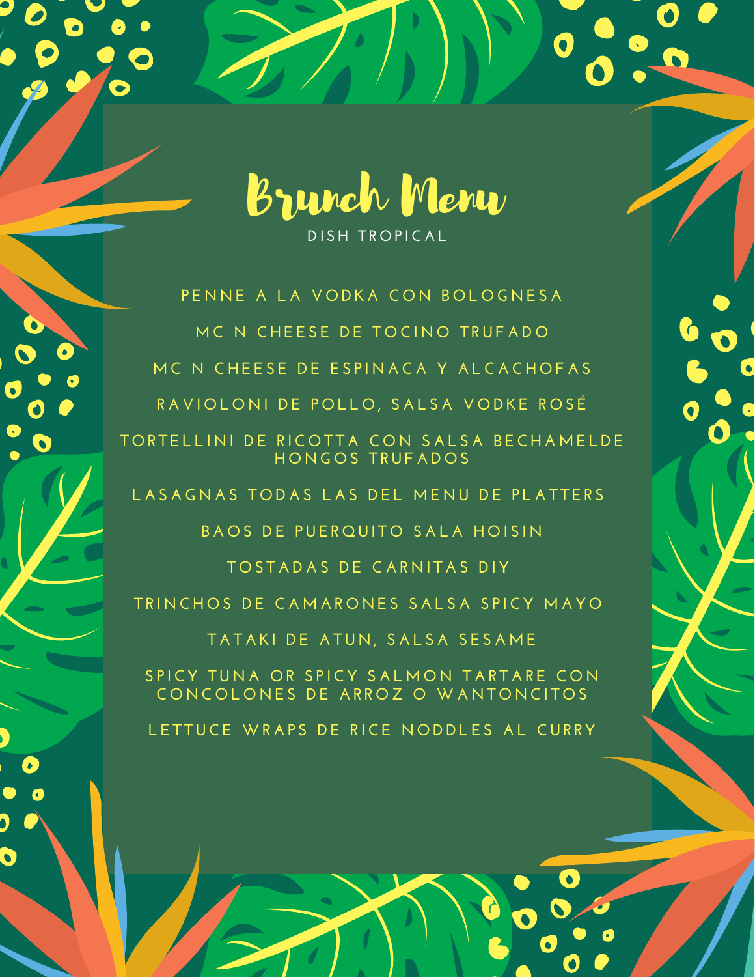

O

**DI S H T R O P IC A L**

**P E N N E A L A V O DK A C O N B O L O G N E S A M C N C H E E S E DE T O CI N O T RUF A D O** MC N CHEESE DE ESPINACA Y ALCACHOFAS RAVIOLONI DE POLLO, SALSA VODKE ROSÉ TORTELLINI DE RICOTTA CON SALSA BECHAMELDE **H O N G O S T RUF A D O S**

LASAGNAS TODAS LAS DEL MENU DE PLATTERS

**B A O S DE PUE R Q UI T O S A L A H O I S I N**

**T O S T A D A S DE C A R N I T A S DI Y**

TRINCHOS DE CAMARONES SALSA SPICY MAYO

**T A T A K I DE A TU N , S A L S A S E S A M E**

SPICY TUNA OR SPICY SALMON TARTARE CON CONCOLONES DE ARROZ O WANTONCITOS

**L E T TUCE WR A P S DE R ICE N O DDL E S A L CUR RY**

 $\mathbf{C}$